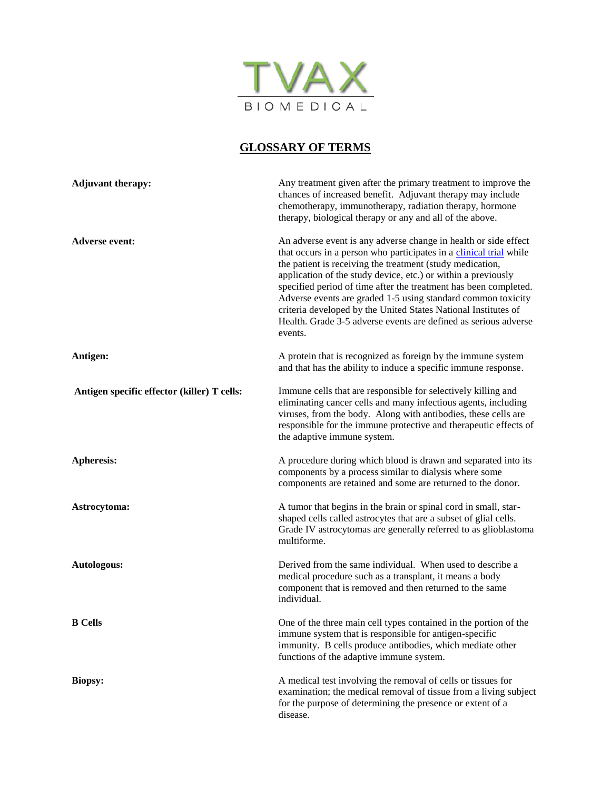

## **GLOSSARY OF TERMS**

| <b>Adjuvant therapy:</b>                    | Any treatment given after the primary treatment to improve the<br>chances of increased benefit. Adjuvant therapy may include<br>chemotherapy, immunotherapy, radiation therapy, hormone<br>therapy, biological therapy or any and all of the above.                                                                                                                                                                                                                                                                                                     |
|---------------------------------------------|---------------------------------------------------------------------------------------------------------------------------------------------------------------------------------------------------------------------------------------------------------------------------------------------------------------------------------------------------------------------------------------------------------------------------------------------------------------------------------------------------------------------------------------------------------|
| <b>Adverse event:</b>                       | An adverse event is any adverse change in health or side effect<br>that occurs in a person who participates in a clinical trial while<br>the patient is receiving the treatment (study medication,<br>application of the study device, etc.) or within a previously<br>specified period of time after the treatment has been completed.<br>Adverse events are graded 1-5 using standard common toxicity<br>criteria developed by the United States National Institutes of<br>Health. Grade 3-5 adverse events are defined as serious adverse<br>events. |
| Antigen:                                    | A protein that is recognized as foreign by the immune system<br>and that has the ability to induce a specific immune response.                                                                                                                                                                                                                                                                                                                                                                                                                          |
| Antigen specific effector (killer) T cells: | Immune cells that are responsible for selectively killing and<br>eliminating cancer cells and many infectious agents, including<br>viruses, from the body. Along with antibodies, these cells are<br>responsible for the immune protective and therapeutic effects of<br>the adaptive immune system.                                                                                                                                                                                                                                                    |
| Apheresis:                                  | A procedure during which blood is drawn and separated into its<br>components by a process similar to dialysis where some<br>components are retained and some are returned to the donor.                                                                                                                                                                                                                                                                                                                                                                 |
| Astrocytoma:                                | A tumor that begins in the brain or spinal cord in small, star-<br>shaped cells called astrocytes that are a subset of glial cells.<br>Grade IV astrocytomas are generally referred to as glioblastoma<br>multiforme.                                                                                                                                                                                                                                                                                                                                   |
| Autologous:                                 | Derived from the same individual. When used to describe a<br>medical procedure such as a transplant, it means a body<br>component that is removed and then returned to the same<br>individual.                                                                                                                                                                                                                                                                                                                                                          |
| <b>B</b> Cells                              | One of the three main cell types contained in the portion of the<br>immune system that is responsible for antigen-specific<br>immunity. B cells produce antibodies, which mediate other<br>functions of the adaptive immune system.                                                                                                                                                                                                                                                                                                                     |
| <b>Biopsy:</b>                              | A medical test involving the removal of cells or tissues for<br>examination; the medical removal of tissue from a living subject<br>for the purpose of determining the presence or extent of a<br>disease.                                                                                                                                                                                                                                                                                                                                              |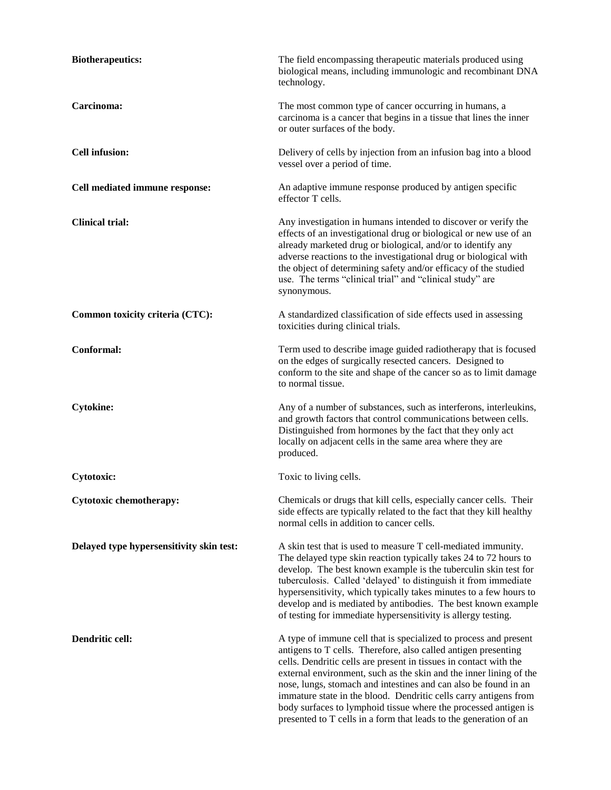| <b>Biotherapeutics:</b>                  | The field encompassing therapeutic materials produced using<br>biological means, including immunologic and recombinant DNA<br>technology.                                                                                                                                                                                                                                                                                                                                                                                                                    |
|------------------------------------------|--------------------------------------------------------------------------------------------------------------------------------------------------------------------------------------------------------------------------------------------------------------------------------------------------------------------------------------------------------------------------------------------------------------------------------------------------------------------------------------------------------------------------------------------------------------|
| Carcinoma:                               | The most common type of cancer occurring in humans, a<br>carcinoma is a cancer that begins in a tissue that lines the inner<br>or outer surfaces of the body.                                                                                                                                                                                                                                                                                                                                                                                                |
| <b>Cell infusion:</b>                    | Delivery of cells by injection from an infusion bag into a blood<br>vessel over a period of time.                                                                                                                                                                                                                                                                                                                                                                                                                                                            |
| Cell mediated immune response:           | An adaptive immune response produced by antigen specific<br>effector T cells.                                                                                                                                                                                                                                                                                                                                                                                                                                                                                |
| <b>Clinical trial:</b>                   | Any investigation in humans intended to discover or verify the<br>effects of an investigational drug or biological or new use of an<br>already marketed drug or biological, and/or to identify any<br>adverse reactions to the investigational drug or biological with<br>the object of determining safety and/or efficacy of the studied<br>use. The terms "clinical trial" and "clinical study" are<br>synonymous.                                                                                                                                         |
| Common toxicity criteria (CTC):          | A standardized classification of side effects used in assessing<br>toxicities during clinical trials.                                                                                                                                                                                                                                                                                                                                                                                                                                                        |
| Conformal:                               | Term used to describe image guided radiotherapy that is focused<br>on the edges of surgically resected cancers. Designed to<br>conform to the site and shape of the cancer so as to limit damage<br>to normal tissue.                                                                                                                                                                                                                                                                                                                                        |
| <b>Cytokine:</b>                         | Any of a number of substances, such as interferons, interleukins,<br>and growth factors that control communications between cells.<br>Distinguished from hormones by the fact that they only act<br>locally on adjacent cells in the same area where they are<br>produced.                                                                                                                                                                                                                                                                                   |
| <b>Cytotoxic:</b>                        | Toxic to living cells.                                                                                                                                                                                                                                                                                                                                                                                                                                                                                                                                       |
| Cytotoxic chemotherapy:                  | Chemicals or drugs that kill cells, especially cancer cells. Their<br>side effects are typically related to the fact that they kill healthy<br>normal cells in addition to cancer cells.                                                                                                                                                                                                                                                                                                                                                                     |
| Delayed type hypersensitivity skin test: | A skin test that is used to measure T cell-mediated immunity.<br>The delayed type skin reaction typically takes 24 to 72 hours to<br>develop. The best known example is the tuberculin skin test for<br>tuberculosis. Called 'delayed' to distinguish it from immediate<br>hypersensitivity, which typically takes minutes to a few hours to<br>develop and is mediated by antibodies. The best known example<br>of testing for immediate hypersensitivity is allergy testing.                                                                               |
| Dendritic cell:                          | A type of immune cell that is specialized to process and present<br>antigens to T cells. Therefore, also called antigen presenting<br>cells. Dendritic cells are present in tissues in contact with the<br>external environment, such as the skin and the inner lining of the<br>nose, lungs, stomach and intestines and can also be found in an<br>immature state in the blood. Dendritic cells carry antigens from<br>body surfaces to lymphoid tissue where the processed antigen is<br>presented to T cells in a form that leads to the generation of an |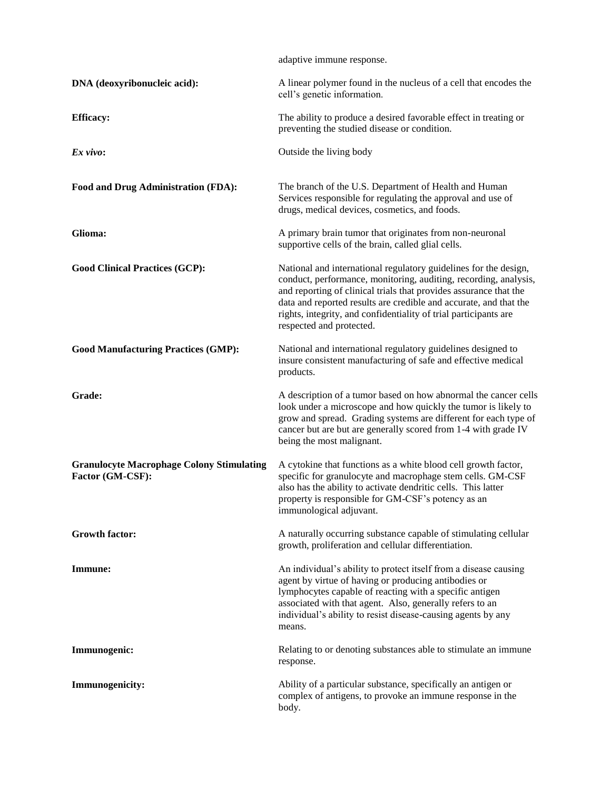|                                                                      | adaptive immune response.                                                                                                                                                                                                                                                                                                                                                      |
|----------------------------------------------------------------------|--------------------------------------------------------------------------------------------------------------------------------------------------------------------------------------------------------------------------------------------------------------------------------------------------------------------------------------------------------------------------------|
| DNA (deoxyribonucleic acid):                                         | A linear polymer found in the nucleus of a cell that encodes the<br>cell's genetic information.                                                                                                                                                                                                                                                                                |
| <b>Efficacy:</b>                                                     | The ability to produce a desired favorable effect in treating or<br>preventing the studied disease or condition.                                                                                                                                                                                                                                                               |
| $Ex$ vivo:                                                           | Outside the living body                                                                                                                                                                                                                                                                                                                                                        |
| Food and Drug Administration (FDA):                                  | The branch of the U.S. Department of Health and Human<br>Services responsible for regulating the approval and use of<br>drugs, medical devices, cosmetics, and foods.                                                                                                                                                                                                          |
| Glioma:                                                              | A primary brain tumor that originates from non-neuronal<br>supportive cells of the brain, called glial cells.                                                                                                                                                                                                                                                                  |
| <b>Good Clinical Practices (GCP):</b>                                | National and international regulatory guidelines for the design,<br>conduct, performance, monitoring, auditing, recording, analysis,<br>and reporting of clinical trials that provides assurance that the<br>data and reported results are credible and accurate, and that the<br>rights, integrity, and confidentiality of trial participants are<br>respected and protected. |
| <b>Good Manufacturing Practices (GMP):</b>                           | National and international regulatory guidelines designed to<br>insure consistent manufacturing of safe and effective medical<br>products.                                                                                                                                                                                                                                     |
| Grade:                                                               | A description of a tumor based on how abnormal the cancer cells<br>look under a microscope and how quickly the tumor is likely to<br>grow and spread. Grading systems are different for each type of<br>cancer but are but are generally scored from 1-4 with grade IV<br>being the most malignant.                                                                            |
| <b>Granulocyte Macrophage Colony Stimulating</b><br>Factor (GM-CSF): | A cytokine that functions as a white blood cell growth factor,<br>specific for granulocyte and macrophage stem cells. GM-CSF<br>also has the ability to activate dendritic cells. This latter<br>property is responsible for GM-CSF's potency as an<br>immunological adjuvant.                                                                                                 |
| <b>Growth factor:</b>                                                | A naturally occurring substance capable of stimulating cellular<br>growth, proliferation and cellular differentiation.                                                                                                                                                                                                                                                         |
| Immune:                                                              | An individual's ability to protect itself from a disease causing<br>agent by virtue of having or producing antibodies or<br>lymphocytes capable of reacting with a specific antigen<br>associated with that agent. Also, generally refers to an<br>individual's ability to resist disease-causing agents by any<br>means.                                                      |
| Immunogenic:                                                         | Relating to or denoting substances able to stimulate an immune<br>response.                                                                                                                                                                                                                                                                                                    |
| <b>Immunogenicity:</b>                                               | Ability of a particular substance, specifically an antigen or<br>complex of antigens, to provoke an immune response in the<br>body.                                                                                                                                                                                                                                            |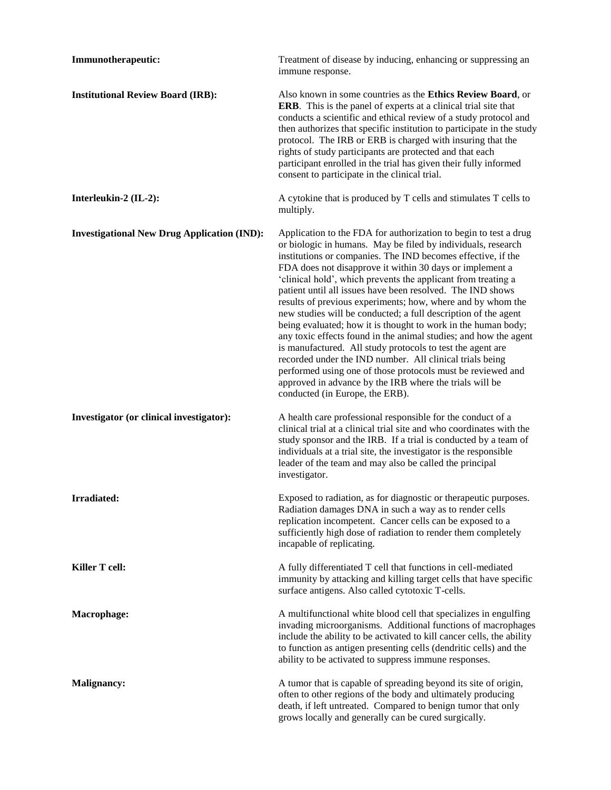| Immunotherapeutic:                                 | Treatment of disease by inducing, enhancing or suppressing an<br>immune response.                                                                                                                                                                                                                                                                                                                                                                                                                                                                                                                                                                                                                                                                                                                                                                                                                                                                        |
|----------------------------------------------------|----------------------------------------------------------------------------------------------------------------------------------------------------------------------------------------------------------------------------------------------------------------------------------------------------------------------------------------------------------------------------------------------------------------------------------------------------------------------------------------------------------------------------------------------------------------------------------------------------------------------------------------------------------------------------------------------------------------------------------------------------------------------------------------------------------------------------------------------------------------------------------------------------------------------------------------------------------|
| <b>Institutional Review Board (IRB):</b>           | Also known in some countries as the Ethics Review Board, or<br><b>ERB.</b> This is the panel of experts at a clinical trial site that<br>conducts a scientific and ethical review of a study protocol and<br>then authorizes that specific institution to participate in the study<br>protocol. The IRB or ERB is charged with insuring that the<br>rights of study participants are protected and that each<br>participant enrolled in the trial has given their fully informed<br>consent to participate in the clinical trial.                                                                                                                                                                                                                                                                                                                                                                                                                        |
| Interleukin-2 (IL-2):                              | A cytokine that is produced by T cells and stimulates T cells to<br>multiply.                                                                                                                                                                                                                                                                                                                                                                                                                                                                                                                                                                                                                                                                                                                                                                                                                                                                            |
| <b>Investigational New Drug Application (IND):</b> | Application to the FDA for authorization to begin to test a drug<br>or biologic in humans. May be filed by individuals, research<br>institutions or companies. The IND becomes effective, if the<br>FDA does not disapprove it within 30 days or implement a<br>'clinical hold', which prevents the applicant from treating a<br>patient until all issues have been resolved. The IND shows<br>results of previous experiments; how, where and by whom the<br>new studies will be conducted; a full description of the agent<br>being evaluated; how it is thought to work in the human body;<br>any toxic effects found in the animal studies; and how the agent<br>is manufactured. All study protocols to test the agent are<br>recorded under the IND number. All clinical trials being<br>performed using one of those protocols must be reviewed and<br>approved in advance by the IRB where the trials will be<br>conducted (in Europe, the ERB). |
| Investigator (or clinical investigator):           | A health care professional responsible for the conduct of a<br>clinical trial at a clinical trial site and who coordinates with the<br>study sponsor and the IRB. If a trial is conducted by a team of<br>individuals at a trial site, the investigator is the responsible<br>leader of the team and may also be called the principal<br>investigator.                                                                                                                                                                                                                                                                                                                                                                                                                                                                                                                                                                                                   |
| Irradiated:                                        | Exposed to radiation, as for diagnostic or therapeutic purposes.<br>Radiation damages DNA in such a way as to render cells<br>replication incompetent. Cancer cells can be exposed to a<br>sufficiently high dose of radiation to render them completely<br>incapable of replicating.                                                                                                                                                                                                                                                                                                                                                                                                                                                                                                                                                                                                                                                                    |
| Killer T cell:                                     | A fully differentiated T cell that functions in cell-mediated<br>immunity by attacking and killing target cells that have specific<br>surface antigens. Also called cytotoxic T-cells.                                                                                                                                                                                                                                                                                                                                                                                                                                                                                                                                                                                                                                                                                                                                                                   |
| Macrophage:                                        | A multifunctional white blood cell that specializes in engulfing<br>invading microorganisms. Additional functions of macrophages<br>include the ability to be activated to kill cancer cells, the ability<br>to function as antigen presenting cells (dendritic cells) and the<br>ability to be activated to suppress immune responses.                                                                                                                                                                                                                                                                                                                                                                                                                                                                                                                                                                                                                  |
| <b>Malignancy:</b>                                 | A tumor that is capable of spreading beyond its site of origin,<br>often to other regions of the body and ultimately producing<br>death, if left untreated. Compared to benign tumor that only<br>grows locally and generally can be cured surgically.                                                                                                                                                                                                                                                                                                                                                                                                                                                                                                                                                                                                                                                                                                   |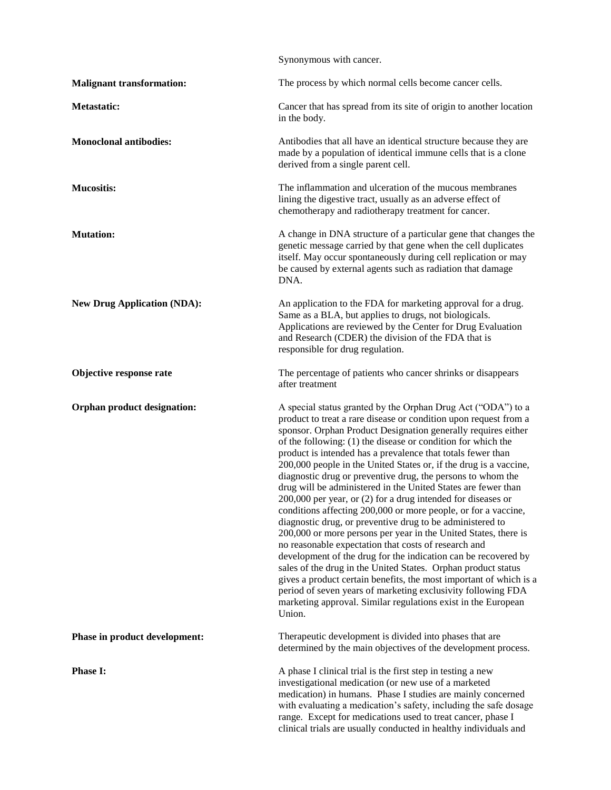|                                    | Synonymous with cancer.                                                                                                                                                                                                                                                                                                                                                                                                                                                                                                                                                                                                                                                                                                                                                                                                                                                                                                                                                                                                                                                                                                                                                                                             |
|------------------------------------|---------------------------------------------------------------------------------------------------------------------------------------------------------------------------------------------------------------------------------------------------------------------------------------------------------------------------------------------------------------------------------------------------------------------------------------------------------------------------------------------------------------------------------------------------------------------------------------------------------------------------------------------------------------------------------------------------------------------------------------------------------------------------------------------------------------------------------------------------------------------------------------------------------------------------------------------------------------------------------------------------------------------------------------------------------------------------------------------------------------------------------------------------------------------------------------------------------------------|
| <b>Malignant transformation:</b>   | The process by which normal cells become cancer cells.                                                                                                                                                                                                                                                                                                                                                                                                                                                                                                                                                                                                                                                                                                                                                                                                                                                                                                                                                                                                                                                                                                                                                              |
| Metastatic:                        | Cancer that has spread from its site of origin to another location<br>in the body.                                                                                                                                                                                                                                                                                                                                                                                                                                                                                                                                                                                                                                                                                                                                                                                                                                                                                                                                                                                                                                                                                                                                  |
| <b>Monoclonal antibodies:</b>      | Antibodies that all have an identical structure because they are<br>made by a population of identical immune cells that is a clone<br>derived from a single parent cell.                                                                                                                                                                                                                                                                                                                                                                                                                                                                                                                                                                                                                                                                                                                                                                                                                                                                                                                                                                                                                                            |
| <b>Mucositis:</b>                  | The inflammation and ulceration of the mucous membranes<br>lining the digestive tract, usually as an adverse effect of<br>chemotherapy and radiotherapy treatment for cancer.                                                                                                                                                                                                                                                                                                                                                                                                                                                                                                                                                                                                                                                                                                                                                                                                                                                                                                                                                                                                                                       |
| <b>Mutation:</b>                   | A change in DNA structure of a particular gene that changes the<br>genetic message carried by that gene when the cell duplicates<br>itself. May occur spontaneously during cell replication or may<br>be caused by external agents such as radiation that damage<br>DNA.                                                                                                                                                                                                                                                                                                                                                                                                                                                                                                                                                                                                                                                                                                                                                                                                                                                                                                                                            |
| <b>New Drug Application (NDA):</b> | An application to the FDA for marketing approval for a drug.<br>Same as a BLA, but applies to drugs, not biologicals.<br>Applications are reviewed by the Center for Drug Evaluation<br>and Research (CDER) the division of the FDA that is<br>responsible for drug regulation.                                                                                                                                                                                                                                                                                                                                                                                                                                                                                                                                                                                                                                                                                                                                                                                                                                                                                                                                     |
| Objective response rate            | The percentage of patients who cancer shrinks or disappears<br>after treatment                                                                                                                                                                                                                                                                                                                                                                                                                                                                                                                                                                                                                                                                                                                                                                                                                                                                                                                                                                                                                                                                                                                                      |
| <b>Orphan product designation:</b> | A special status granted by the Orphan Drug Act ("ODA") to a<br>product to treat a rare disease or condition upon request from a<br>sponsor. Orphan Product Designation generally requires either<br>of the following: (1) the disease or condition for which the<br>product is intended has a prevalence that totals fewer than<br>200,000 people in the United States or, if the drug is a vaccine,<br>diagnostic drug or preventive drug, the persons to whom the<br>drug will be administered in the United States are fewer than<br>200,000 per year, or (2) for a drug intended for diseases or<br>conditions affecting 200,000 or more people, or for a vaccine,<br>diagnostic drug, or preventive drug to be administered to<br>200,000 or more persons per year in the United States, there is<br>no reasonable expectation that costs of research and<br>development of the drug for the indication can be recovered by<br>sales of the drug in the United States. Orphan product status<br>gives a product certain benefits, the most important of which is a<br>period of seven years of marketing exclusivity following FDA<br>marketing approval. Similar regulations exist in the European<br>Union. |
| Phase in product development:      | Therapeutic development is divided into phases that are<br>determined by the main objectives of the development process.                                                                                                                                                                                                                                                                                                                                                                                                                                                                                                                                                                                                                                                                                                                                                                                                                                                                                                                                                                                                                                                                                            |
| <b>Phase I:</b>                    | A phase I clinical trial is the first step in testing a new<br>investigational medication (or new use of a marketed<br>medication) in humans. Phase I studies are mainly concerned<br>with evaluating a medication's safety, including the safe dosage<br>range. Except for medications used to treat cancer, phase I<br>clinical trials are usually conducted in healthy individuals and                                                                                                                                                                                                                                                                                                                                                                                                                                                                                                                                                                                                                                                                                                                                                                                                                           |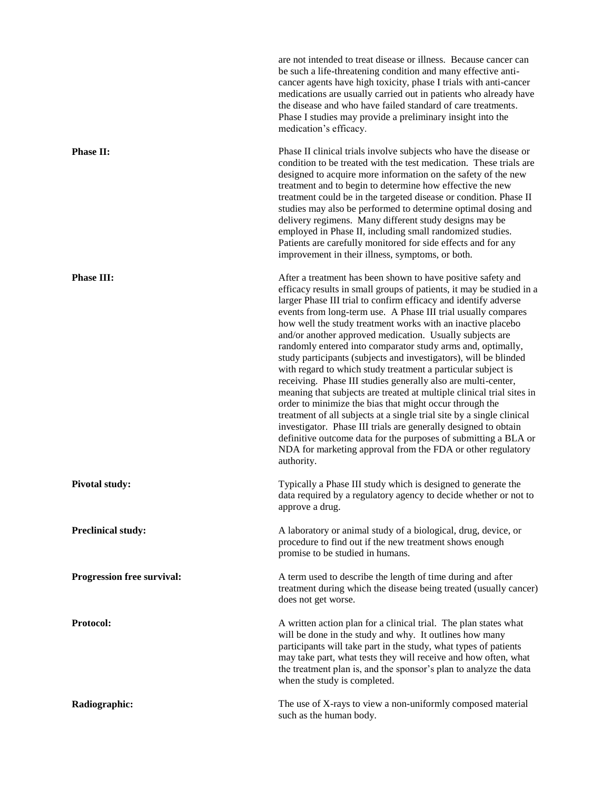|                                   | are not intended to treat disease or illness. Because cancer can<br>be such a life-threatening condition and many effective anti-<br>cancer agents have high toxicity, phase I trials with anti-cancer<br>medications are usually carried out in patients who already have<br>the disease and who have failed standard of care treatments.<br>Phase I studies may provide a preliminary insight into the<br>medication's efficacy.                                                                                                                                                                                                                                                                                                                                                                                                                                                                                                                                                                                                                                                                      |
|-----------------------------------|---------------------------------------------------------------------------------------------------------------------------------------------------------------------------------------------------------------------------------------------------------------------------------------------------------------------------------------------------------------------------------------------------------------------------------------------------------------------------------------------------------------------------------------------------------------------------------------------------------------------------------------------------------------------------------------------------------------------------------------------------------------------------------------------------------------------------------------------------------------------------------------------------------------------------------------------------------------------------------------------------------------------------------------------------------------------------------------------------------|
| <b>Phase II:</b>                  | Phase II clinical trials involve subjects who have the disease or<br>condition to be treated with the test medication. These trials are<br>designed to acquire more information on the safety of the new<br>treatment and to begin to determine how effective the new<br>treatment could be in the targeted disease or condition. Phase II<br>studies may also be performed to determine optimal dosing and<br>delivery regimens. Many different study designs may be<br>employed in Phase II, including small randomized studies.<br>Patients are carefully monitored for side effects and for any<br>improvement in their illness, symptoms, or both.                                                                                                                                                                                                                                                                                                                                                                                                                                                 |
| <b>Phase III:</b>                 | After a treatment has been shown to have positive safety and<br>efficacy results in small groups of patients, it may be studied in a<br>larger Phase III trial to confirm efficacy and identify adverse<br>events from long-term use. A Phase III trial usually compares<br>how well the study treatment works with an inactive placebo<br>and/or another approved medication. Usually subjects are<br>randomly entered into comparator study arms and, optimally,<br>study participants (subjects and investigators), will be blinded<br>with regard to which study treatment a particular subject is<br>receiving. Phase III studies generally also are multi-center,<br>meaning that subjects are treated at multiple clinical trial sites in<br>order to minimize the bias that might occur through the<br>treatment of all subjects at a single trial site by a single clinical<br>investigator. Phase III trials are generally designed to obtain<br>definitive outcome data for the purposes of submitting a BLA or<br>NDA for marketing approval from the FDA or other regulatory<br>authority. |
| <b>Pivotal study:</b>             | Typically a Phase III study which is designed to generate the<br>data required by a regulatory agency to decide whether or not to<br>approve a drug.                                                                                                                                                                                                                                                                                                                                                                                                                                                                                                                                                                                                                                                                                                                                                                                                                                                                                                                                                    |
| <b>Preclinical study:</b>         | A laboratory or animal study of a biological, drug, device, or<br>procedure to find out if the new treatment shows enough<br>promise to be studied in humans.                                                                                                                                                                                                                                                                                                                                                                                                                                                                                                                                                                                                                                                                                                                                                                                                                                                                                                                                           |
| <b>Progression free survival:</b> | A term used to describe the length of time during and after<br>treatment during which the disease being treated (usually cancer)<br>does not get worse.                                                                                                                                                                                                                                                                                                                                                                                                                                                                                                                                                                                                                                                                                                                                                                                                                                                                                                                                                 |
| Protocol:                         | A written action plan for a clinical trial. The plan states what<br>will be done in the study and why. It outlines how many<br>participants will take part in the study, what types of patients<br>may take part, what tests they will receive and how often, what<br>the treatment plan is, and the sponsor's plan to analyze the data<br>when the study is completed.                                                                                                                                                                                                                                                                                                                                                                                                                                                                                                                                                                                                                                                                                                                                 |
| Radiographic:                     | The use of X-rays to view a non-uniformly composed material<br>such as the human body.                                                                                                                                                                                                                                                                                                                                                                                                                                                                                                                                                                                                                                                                                                                                                                                                                                                                                                                                                                                                                  |